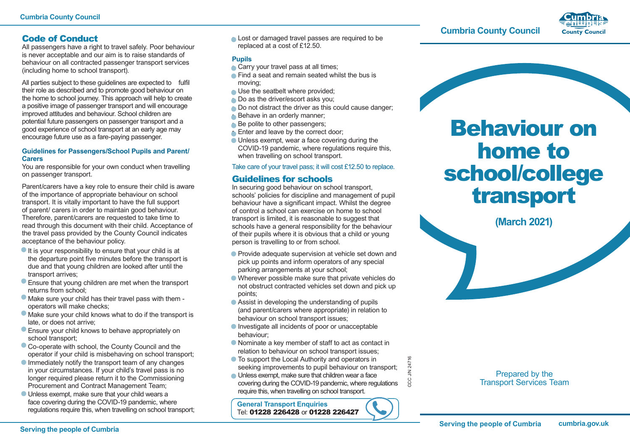# Code of Conduct

All passengers have a right to travel safely. Poor behaviour is never acceptable and our aim is to raise standards of behaviour on all contracted passenger transport services (including home to school transport).

All parties subject to these guidelines are expected to fulfil their role as described and to promote good behaviour on the home to school journey. This approach will help to create a positive image of passenger transport and will encourage improved attitudes and behaviour. School children are potential future passengers on passenger transport and a good experience of school transport at an early age may encourage future use as a fare-paying passenger.

#### **Guidelines for Passengers/School Pupils and Parent/ Carers**

You are responsible for your own conduct when travelling on passenger transport.

Parent/carers have a key role to ensure their child is aware of the importance of appropriate behaviour on school transport. It is vitally important to have the full support of parent/ carers in order to maintain good behaviour. Therefore, parent/carers are requested to take time to read through this document with their child. Acceptance of the travel pass provided by the County Council indicates acceptance of the behaviour policy.

- **It is your responsibility to ensure that your child is at** the departure point five minutes before the transport is due and that young children are looked after until the transport arrives;
- Ensure that young children are met when the transport returns from school;
- Make sure your child has their travel pass with them operators will make checks;
- Make sure your child knows what to do if the transport is late, or does not arrive;
- Ensure your child knows to behave appropriately on school transport;
- Co-operate with school, the County Council and the operator if your child is misbehaving on school transport;
- **Immediately notify the transport team of any changes** in your circumstances. If your child's travel pass is no longer required please return it to the Commissioning Procurement and Contract Management Team;
- Unless exempt, make sure that your child wears a face covering during the COVID-19 pandemic, where regulations require this, when travelling on school transport;

• Lost or damaged travel passes are required to be replaced at a cost of £12.50.

## **Pupils**

- Carry your travel pass at all times;
- Find a seat and remain seated whilst the bus is moving;
- Use the seatbelt where provided:
- Do as the driver/escort asks you:
- Do not distract the driver as this could cause danger;
- Behave in an orderly manner:
- Be polite to other passengers;
- Enter and leave by the correct door:
- Unless exempt, wear a face covering during the COVID-19 pandemic, where regulations require this, when travelling on school transport.

## Take care of your travel pass; it will cost £12.50 to replace.

# Guidelines for schools

In securing good behaviour on school transport, schools' policies for discipline and management of pupil behaviour have a significant impact. Whilst the degree of control a school can exercise on home to school transport is limited, it is reasonable to suggest that schools have a general responsibility for the behaviour of their pupils where it is obvious that a child or young person is travelling to or from school.

- Provide adequate supervision at vehicle set down and pick up points and inform operators of any special parking arrangements at your school;
- Wherever possible make sure that private vehicles do not obstruct contracted vehicles set down and pick up points;
- Assist in developing the understanding of pupils (and parent/carers where appropriate) in relation to behaviour on school transport issues;
- Investigate all incidents of poor or unacceptable behaviour;
- Nominate a key member of staff to act as contact in relation to behaviour on school transport issues;
- **To support the Local Authority and operators in** seeking improvements to pupil behaviour on transport;
- Unless exempt, make sure that children wear a face covering during the COVID-19 pandemic, where regulations require this, when travelling on school transport.

**General Transport Enquiries** Tel: 01228 226428 or 01228 226427



## **Cumbria County Council**



# Behaviour on home to school/college transport

**(March 2021)**

Prepared by the Transport Services Team